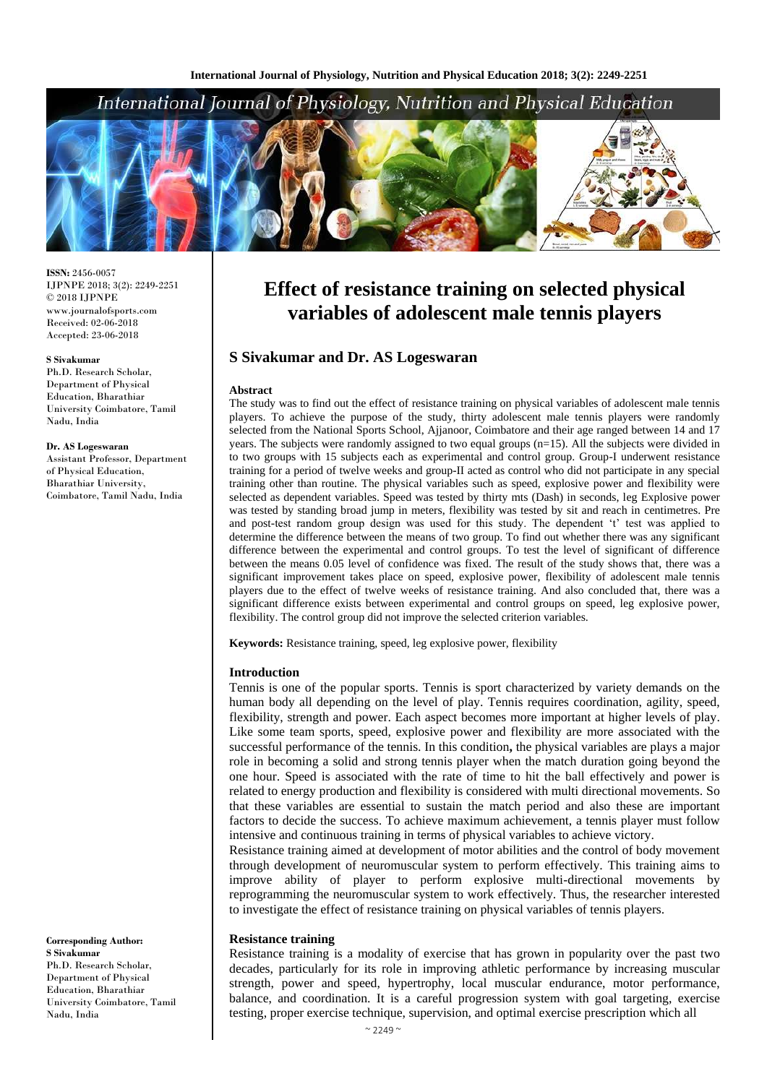# International Journal of Physiology, Nutrition and Physical Education



**ISSN:** 2456-0057 IJPNPE 2018; 3(2): 2249-2251  $\odot$  2018 IJPNPE www.journalofsports.com Received: 02-06-2018 Accepted: 23-06-2018

#### **S Sivakumar**

Ph.D. Research Scholar, Department of Physical Education, Bharathiar University Coimbatore, Tamil Nadu, India

#### **Dr. AS Logeswaran**

Assistant Professor, Department of Physical Education, Bharathiar University, Coimbatore, Tamil Nadu, India

**Effect of resistance training on selected physical variables of adolescent male tennis players**

# **S Sivakumar and Dr. AS Logeswaran**

#### **Abstract**

The study was to find out the effect of resistance training on physical variables of adolescent male tennis players. To achieve the purpose of the study, thirty adolescent male tennis players were randomly selected from the National Sports School, Ajjanoor, Coimbatore and their age ranged between 14 and 17 years. The subjects were randomly assigned to two equal groups (n=15). All the subjects were divided in to two groups with 15 subjects each as experimental and control group. Group-I underwent resistance training for a period of twelve weeks and group-II acted as control who did not participate in any special training other than routine. The physical variables such as speed, explosive power and flexibility were selected as dependent variables. Speed was tested by thirty mts (Dash) in seconds, leg Explosive power was tested by standing broad jump in meters, flexibility was tested by sit and reach in centimetres. Pre and post-test random group design was used for this study. The dependent 't' test was applied to determine the difference between the means of two group. To find out whether there was any significant difference between the experimental and control groups. To test the level of significant of difference between the means 0.05 level of confidence was fixed. The result of the study shows that, there was a significant improvement takes place on speed, explosive power, flexibility of adolescent male tennis players due to the effect of twelve weeks of resistance training. And also concluded that, there was a significant difference exists between experimental and control groups on speed, leg explosive power, flexibility. The control group did not improve the selected criterion variables.

**Keywords:** Resistance training, speed, leg explosive power, flexibility

#### **Introduction**

Tennis is one of the popular sports. Tennis is sport characterized by variety demands on the human body all depending on the level of play. Tennis requires coordination, agility, speed, flexibility, strength and power. Each aspect becomes more important at higher levels of play. Like some team sports, speed, explosive power and flexibility are more associated with the successful performance of the tennis. In this condition**,** the physical variables are plays a major role in becoming a solid and strong tennis player when the match duration going beyond the one hour. Speed is associated with the rate of time to hit the ball effectively and power is related to energy production and flexibility is considered with multi directional movements. So that these variables are essential to sustain the match period and also these are important factors to decide the success. To achieve maximum achievement, a tennis player must follow intensive and continuous training in terms of physical variables to achieve victory.

Resistance training aimed at development of motor abilities and the control of body movement through development of neuromuscular system to perform effectively. This training aims to improve ability of player to perform explosive multi-directional movements by reprogramming the neuromuscular system to work effectively. Thus, the researcher interested to investigate the effect of resistance training on physical variables of tennis players.

### **Resistance training**

Resistance training is a modality of exercise that has grown in popularity over the past two decades, particularly for its role in improving athletic performance by increasing muscular strength, power and speed, hypertrophy, local muscular endurance, motor performance, balance, and coordination. It is a careful progression system with goal targeting, exercise testing, proper exercise technique, supervision, and optimal exercise prescription which all

**Corresponding Author: S Sivakumar** Ph.D. Research Scholar, Department of Physical Education, Bharathiar University Coimbatore, Tamil Nadu, India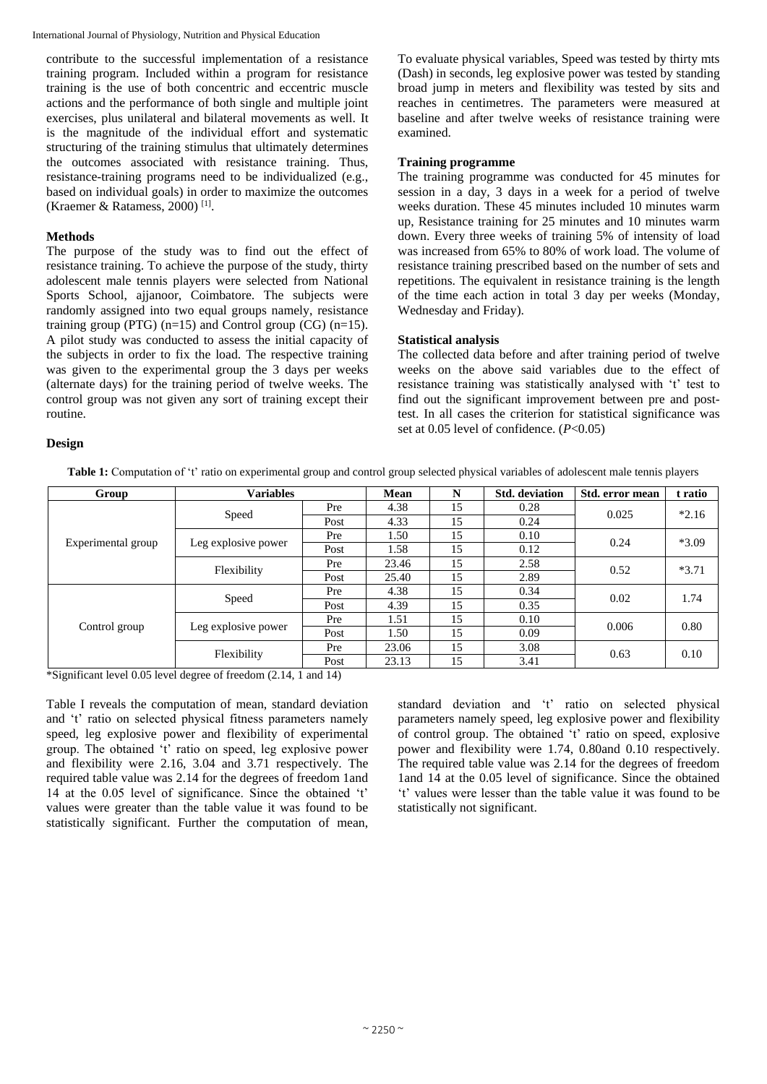International Journal of Physiology, Nutrition and Physical Education

contribute to the successful implementation of a resistance training program. Included within a program for resistance training is the use of both concentric and eccentric muscle actions and the performance of both single and multiple joint exercises, plus unilateral and bilateral movements as well. It is the magnitude of the individual effort and systematic structuring of the training stimulus that ultimately determines the outcomes associated with resistance training. Thus, resistance-training programs need to be individualized (e.g., based on individual goals) in order to maximize the outcomes (Kraemer & Ratamess, 2000) [1] .

# **Methods**

The purpose of the study was to find out the effect of resistance training. To achieve the purpose of the study, thirty adolescent male tennis players were selected from National Sports School, ajjanoor, Coimbatore. The subjects were randomly assigned into two equal groups namely, resistance training group (PTG)  $(n=15)$  and Control group (CG)  $(n=15)$ . A pilot study was conducted to assess the initial capacity of the subjects in order to fix the load. The respective training was given to the experimental group the 3 days per weeks (alternate days) for the training period of twelve weeks. The control group was not given any sort of training except their routine.

To evaluate physical variables, Speed was tested by thirty mts (Dash) in seconds, leg explosive power was tested by standing broad jump in meters and flexibility was tested by sits and reaches in centimetres. The parameters were measured at baseline and after twelve weeks of resistance training were examined.

# **Training programme**

The training programme was conducted for 45 minutes for session in a day, 3 days in a week for a period of twelve weeks duration. These 45 minutes included 10 minutes warm up, Resistance training for 25 minutes and 10 minutes warm down. Every three weeks of training 5% of intensity of load was increased from 65% to 80% of work load. The volume of resistance training prescribed based on the number of sets and repetitions. The equivalent in resistance training is the length of the time each action in total 3 day per weeks (Monday, Wednesday and Friday).

# **Statistical analysis**

The collected data before and after training period of twelve weeks on the above said variables due to the effect of resistance training was statistically analysed with 't' test to find out the significant improvement between pre and posttest. In all cases the criterion for statistical significance was set at 0.05 level of confidence. (*P*<0.05)

# **Design**

**Table 1:** Computation of 't' ratio on experimental group and control group selected physical variables of adolescent male tennis players

| Group              | <b>Variables</b>    |      | Mean  | N  | <b>Std.</b> deviation | Std. error mean | t ratio |
|--------------------|---------------------|------|-------|----|-----------------------|-----------------|---------|
| Experimental group | Speed               | Pre  | 4.38  | 15 | 0.28                  | 0.025           | $*2.16$ |
|                    |                     | Post | 4.33  | 15 | 0.24                  |                 |         |
|                    | Leg explosive power | Pre  | 1.50  | 15 | 0.10                  | 0.24            | $*3.09$ |
|                    |                     | Post | 1.58  | 15 | 0.12                  |                 |         |
|                    | Flexibility         | Pre  | 23.46 | 15 | 2.58                  | 0.52            | $*3.71$ |
|                    |                     | Post | 25.40 | 15 | 2.89                  |                 |         |
| Control group      | Speed               | Pre  | 4.38  | 15 | 0.34                  | 0.02            | 1.74    |
|                    |                     | Post | 4.39  | 15 | 0.35                  |                 |         |
|                    | Leg explosive power | Pre  | 1.51  | 15 | 0.10                  | 0.006           | 0.80    |
|                    |                     | Post | 1.50  | 15 | 0.09                  |                 |         |
|                    | Flexibility         | Pre  | 23.06 | 15 | 3.08                  | 0.63            | 0.10    |
|                    |                     | Post | 23.13 | 15 | 3.41                  |                 |         |

\*Significant level 0.05 level degree of freedom (2.14, 1 and 14)

Table I reveals the computation of mean, standard deviation and 't' ratio on selected physical fitness parameters namely speed, leg explosive power and flexibility of experimental group. The obtained 't' ratio on speed, leg explosive power and flexibility were 2.16, 3.04 and 3.71 respectively. The required table value was 2.14 for the degrees of freedom 1and 14 at the 0.05 level of significance. Since the obtained 't' values were greater than the table value it was found to be statistically significant. Further the computation of mean,

standard deviation and 't' ratio on selected physical parameters namely speed, leg explosive power and flexibility of control group. The obtained 't' ratio on speed, explosive power and flexibility were 1.74, 0.80and 0.10 respectively. The required table value was 2.14 for the degrees of freedom 1and 14 at the 0.05 level of significance. Since the obtained 't' values were lesser than the table value it was found to be statistically not significant.